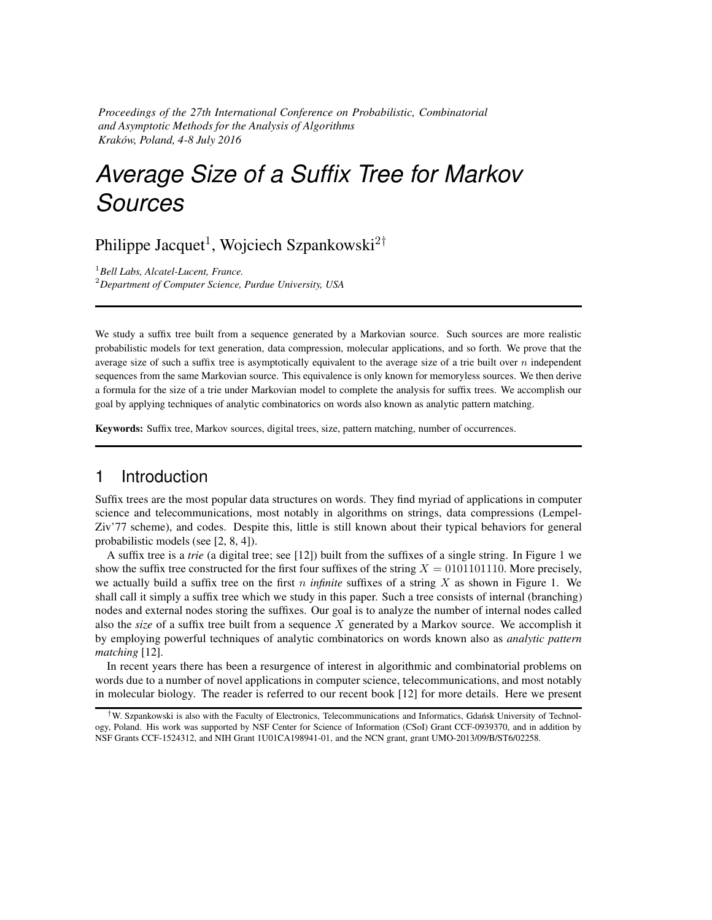*Proceedings of the 27th International Conference on Probabilistic, Combinatorial and Asymptotic Methods for the Analysis of Algorithms Krakow, Poland, 4-8 July 2016 ´*

# *Average Size of a Suffix Tree for Markov Sources*

Philippe Jacquet<sup>1</sup>, Wojciech Szpankowski<sup>2†</sup>

<sup>1</sup>*Bell Labs, Alcatel-Lucent, France.* <sup>2</sup>*Department of Computer Science, Purdue University, USA*

We study a suffix tree built from a sequence generated by a Markovian source. Such sources are more realistic probabilistic models for text generation, data compression, molecular applications, and so forth. We prove that the average size of such a suffix tree is asymptotically equivalent to the average size of a trie built over  $n$  independent sequences from the same Markovian source. This equivalence is only known for memoryless sources. We then derive a formula for the size of a trie under Markovian model to complete the analysis for suffix trees. We accomplish our goal by applying techniques of analytic combinatorics on words also known as analytic pattern matching.

Keywords: Suffix tree, Markov sources, digital trees, size, pattern matching, number of occurrences.

## 1 Introduction

Suffix trees are the most popular data structures on words. They find myriad of applications in computer science and telecommunications, most notably in algorithms on strings, data compressions (Lempel-Ziv'77 scheme), and codes. Despite this, little is still known about their typical behaviors for general probabilistic models (see [2, 8, 4]).

A suffix tree is a *trie* (a digital tree; see [12]) built from the suffixes of a single string. In Figure 1 we show the suffix tree constructed for the first four suffixes of the string  $X = 0101101110$ . More precisely, we actually build a suffix tree on the first n *infinite* suffixes of a string X as shown in Figure 1. We shall call it simply a suffix tree which we study in this paper. Such a tree consists of internal (branching) nodes and external nodes storing the suffixes. Our goal is to analyze the number of internal nodes called also the *size* of a suffix tree built from a sequence X generated by a Markov source. We accomplish it by employing powerful techniques of analytic combinatorics on words known also as *analytic pattern matching* [12].

In recent years there has been a resurgence of interest in algorithmic and combinatorial problems on words due to a number of novel applications in computer science, telecommunications, and most notably in molecular biology. The reader is referred to our recent book [12] for more details. Here we present

<sup>&</sup>lt;sup>†</sup>W. Szpankowski is also with the Faculty of Electronics, Telecommunications and Informatics, Gdańsk University of Technology, Poland. His work was supported by NSF Center for Science of Information (CSoI) Grant CCF-0939370, and in addition by NSF Grants CCF-1524312, and NIH Grant 1U01CA198941-01, and the NCN grant, grant UMO-2013/09/B/ST6/02258.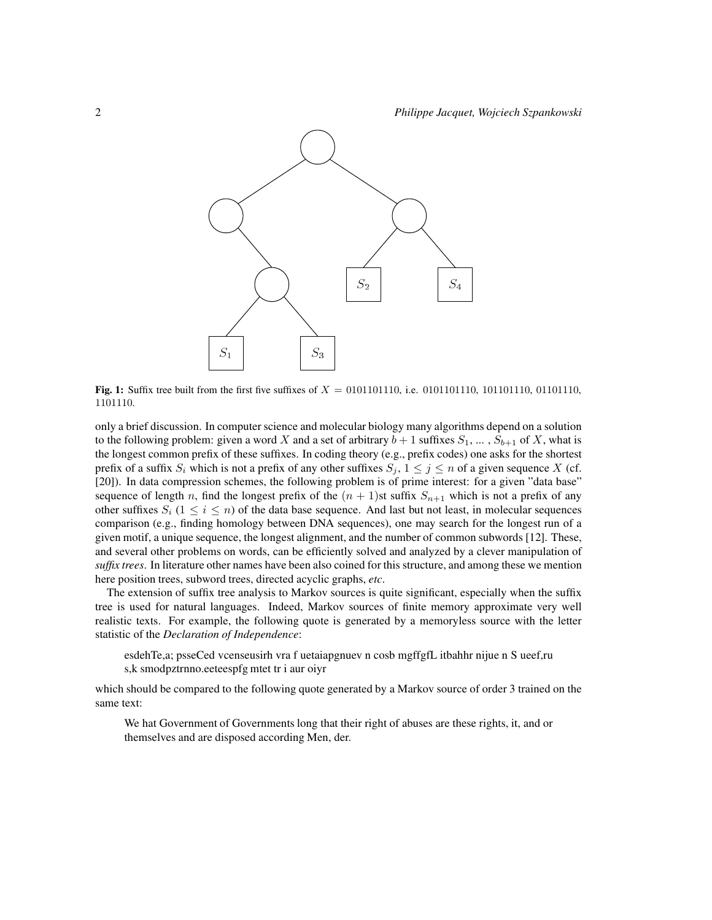

**Fig. 1:** Suffix tree built from the first five suffixes of  $X = 0101101110$ , i.e. 0101101110, 101101110, 01101110, 1101110.

only a brief discussion. In computer science and molecular biology many algorithms depend on a solution to the following problem: given a word X and a set of arbitrary  $b + 1$  suffixes  $S_1, \ldots, S_{b+1}$  of X, what is the longest common prefix of these suffixes. In coding theory (e.g., prefix codes) one asks for the shortest prefix of a suffix  $S_i$  which is not a prefix of any other suffixes  $S_i$ ,  $1 \leq j \leq n$  of a given sequence X (cf. [20]). In data compression schemes, the following problem is of prime interest: for a given "data base" sequence of length n, find the longest prefix of the  $(n + 1)$ st suffix  $S_{n+1}$  which is not a prefix of any other suffixes  $S_i$  ( $1 \le i \le n$ ) of the data base sequence. And last but not least, in molecular sequences comparison (e.g., finding homology between DNA sequences), one may search for the longest run of a given motif, a unique sequence, the longest alignment, and the number of common subwords [12]. These, and several other problems on words, can be efficiently solved and analyzed by a clever manipulation of *suffix trees*. In literature other names have been also coined for this structure, and among these we mention here position trees, subword trees, directed acyclic graphs, *etc*.

The extension of suffix tree analysis to Markov sources is quite significant, especially when the suffix tree is used for natural languages. Indeed, Markov sources of finite memory approximate very well realistic texts. For example, the following quote is generated by a memoryless source with the letter statistic of the *Declaration of Independence*:

esdehTe,a; psseCed vcenseusirh vra f uetaiapgnuev n cosb mgffgfL itbahhr nijue n S ueef,ru s,k smodpztrnno.eeteespfg mtet tr i aur oiyr

which should be compared to the following quote generated by a Markov source of order 3 trained on the same text:

We hat Government of Governments long that their right of abuses are these rights, it, and or themselves and are disposed according Men, der.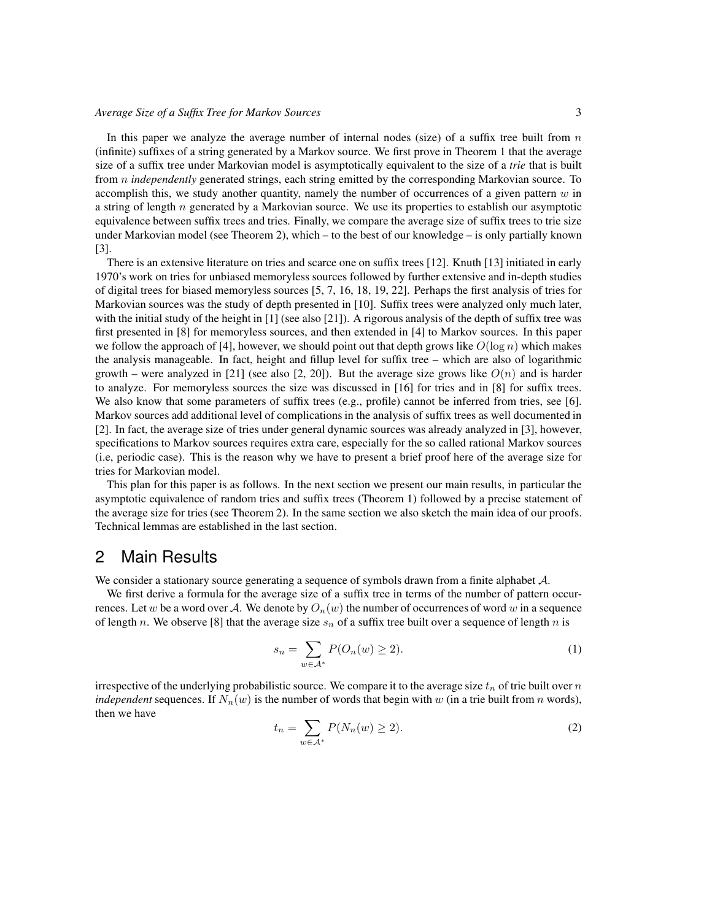In this paper we analyze the average number of internal nodes (size) of a suffix tree built from  $n$ (infinite) suffixes of a string generated by a Markov source. We first prove in Theorem 1 that the average size of a suffix tree under Markovian model is asymptotically equivalent to the size of a *trie* that is built from *n independently* generated strings, each string emitted by the corresponding Markovian source. To accomplish this, we study another quantity, namely the number of occurrences of a given pattern  $w$  in a string of length  $n$  generated by a Markovian source. We use its properties to establish our asymptotic equivalence between suffix trees and tries. Finally, we compare the average size of suffix trees to trie size under Markovian model (see Theorem 2), which – to the best of our knowledge – is only partially known [3].

There is an extensive literature on tries and scarce one on suffix trees [12]. Knuth [13] initiated in early 1970's work on tries for unbiased memoryless sources followed by further extensive and in-depth studies of digital trees for biased memoryless sources [5, 7, 16, 18, 19, 22]. Perhaps the first analysis of tries for Markovian sources was the study of depth presented in [10]. Suffix trees were analyzed only much later, with the initial study of the height in  $[1]$  (see also  $[21]$ ). A rigorous analysis of the depth of suffix tree was first presented in [8] for memoryless sources, and then extended in [4] to Markov sources. In this paper we follow the approach of [4], however, we should point out that depth grows like  $O(\log n)$  which makes the analysis manageable. In fact, height and fillup level for suffix tree – which are also of logarithmic growth – were analyzed in [21] (see also [2, 20]). But the average size grows like  $O(n)$  and is harder to analyze. For memoryless sources the size was discussed in [16] for tries and in [8] for suffix trees. We also know that some parameters of suffix trees (e.g., profile) cannot be inferred from tries, see [6]. Markov sources add additional level of complications in the analysis of suffix trees as well documented in [2]. In fact, the average size of tries under general dynamic sources was already analyzed in [3], however, specifications to Markov sources requires extra care, especially for the so called rational Markov sources (i.e, periodic case). This is the reason why we have to present a brief proof here of the average size for tries for Markovian model.

This plan for this paper is as follows. In the next section we present our main results, in particular the asymptotic equivalence of random tries and suffix trees (Theorem 1) followed by a precise statement of the average size for tries (see Theorem 2). In the same section we also sketch the main idea of our proofs. Technical lemmas are established in the last section.

## 2 Main Results

We consider a stationary source generating a sequence of symbols drawn from a finite alphabet A.

We first derive a formula for the average size of a suffix tree in terms of the number of pattern occurrences. Let w be a word over A. We denote by  $O_n(w)$  the number of occurrences of word w in a sequence of length n. We observe [8] that the average size  $s_n$  of a suffix tree built over a sequence of length n is

$$
s_n = \sum_{w \in \mathcal{A}^*} P(O_n(w) \ge 2).
$$
 (1)

irrespective of the underlying probabilistic source. We compare it to the average size  $t_n$  of trie built over n *independent* sequences. If  $N_n(w)$  is the number of words that begin with w (in a trie built from n words), then we have

$$
t_n = \sum_{w \in \mathcal{A}^*} P(N_n(w) \ge 2). \tag{2}
$$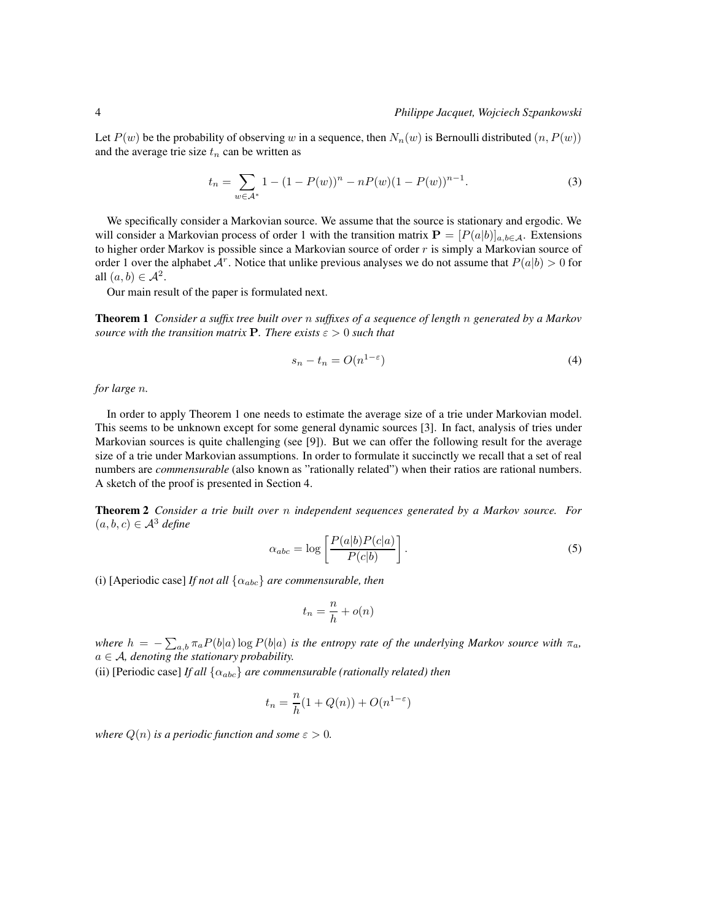#### 4 *Philippe Jacquet, Wojciech Szpankowski*

Let  $P(w)$  be the probability of observing w in a sequence, then  $N_n(w)$  is Bernoulli distributed  $(n, P(w))$ and the average trie size  $t_n$  can be written as

$$
t_n = \sum_{w \in \mathcal{A}^*} 1 - (1 - P(w))^n - nP(w)(1 - P(w))^{n-1}.
$$
 (3)

We specifically consider a Markovian source. We assume that the source is stationary and ergodic. We will consider a Markovian process of order 1 with the transition matrix  $\mathbf{P} = [P(a|b)]_{a,b\in\mathcal{A}}$ . Extensions to higher order Markov is possible since a Markovian source of order  $r$  is simply a Markovian source of order 1 over the alphabet  $A^r$ . Notice that unlike previous analyses we do not assume that  $P(a|b) > 0$  for all  $(a, b) \in \mathcal{A}^2$ .

Our main result of the paper is formulated next.

Theorem 1 *Consider a suffix tree built over* n *suffixes of a sequence of length* n *generated by a Markov source with the transition matrix* **P**. There exists  $\varepsilon > 0$  such that

$$
s_n - t_n = O(n^{1-\varepsilon})
$$
\n<sup>(4)</sup>

*for large* n*.*

In order to apply Theorem 1 one needs to estimate the average size of a trie under Markovian model. This seems to be unknown except for some general dynamic sources [3]. In fact, analysis of tries under Markovian sources is quite challenging (see [9]). But we can offer the following result for the average size of a trie under Markovian assumptions. In order to formulate it succinctly we recall that a set of real numbers are *commensurable* (also known as "rationally related") when their ratios are rational numbers. A sketch of the proof is presented in Section 4.

Theorem 2 *Consider a trie built over* n *independent sequences generated by a Markov source. For*  $(a, b, c) \in \mathcal{A}^3$  *define* 

$$
\alpha_{abc} = \log \left[ \frac{P(a|b)P(c|a)}{P(c|b)} \right].
$$
\n(5)

(i) [Aperiodic case] *If not all*  $\{\alpha_{abc}\}$  *are commensurable, then* 

$$
t_n = \frac{n}{h} + o(n)
$$

*where*  $h = -\sum_{a,b} \pi_a P(b|a) \log P(b|a)$  *is the entropy rate of the underlying Markov source with*  $\pi_a$ *,*  $a \in \mathcal{A}$ , denoting the stationary probability.

(ii) [Periodic case] *If all*  $\{\alpha_{abc}\}$  *are commensurable (rationally related) then* 

$$
t_n = \frac{n}{h}(1 + Q(n)) + O(n^{1-\varepsilon})
$$

*where*  $Q(n)$  *is a periodic function and some*  $\varepsilon > 0$ *.*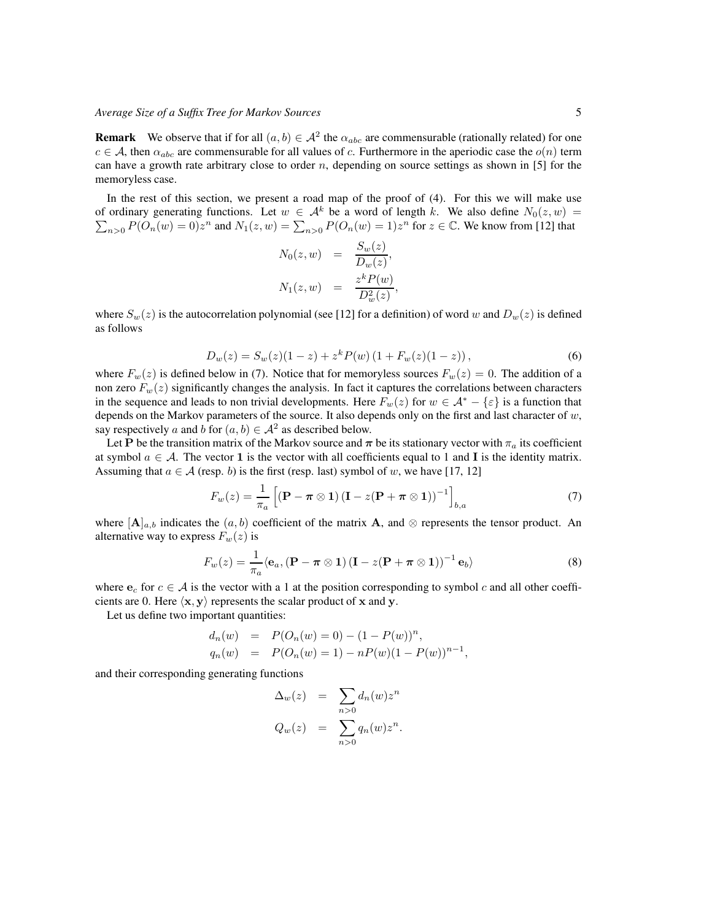**Remark** We observe that if for all  $(a, b) \in A^2$  the  $\alpha_{abc}$  are commensurable (rationally related) for one  $c \in A$ , then  $\alpha_{abc}$  are commensurable for all values of c. Furthermore in the aperiodic case the  $o(n)$  term can have a growth rate arbitrary close to order  $n$ , depending on source settings as shown in [5] for the memoryless case.

In the rest of this section, we present a road map of the proof of (4). For this we will make use of ordinary generating functions. Let  $w \in A^k$  be a word of length k. We also define  $N_0(z, w) =$  $\sum_{n>0} P(O_n(w) = 0)z^n$  and  $N_1(z, w) = \sum_{n>0} P(O_n(w) = 1)z^n$  for  $z \in \mathbb{C}$ . We know from [12] that

$$
N_0(z, w) = \frac{S_w(z)}{D_w(z)},
$$
  

$$
N_1(z, w) = \frac{z^k P(w)}{D_w^2(z)},
$$

where  $S_w(z)$  is the autocorrelation polynomial (see [12] for a definition) of word w and  $D_w(z)$  is defined as follows

$$
D_w(z) = S_w(z)(1-z) + z^k P(w) (1 + F_w(z)(1-z)),
$$
\n(6)

where  $F_w(z)$  is defined below in (7). Notice that for memoryless sources  $F_w(z) = 0$ . The addition of a non zero  $F_w(z)$  significantly changes the analysis. In fact it captures the correlations between characters in the sequence and leads to non trivial developments. Here  $F_w(z)$  for  $w \in A^* - \{\varepsilon\}$  is a function that depends on the Markov parameters of the source. It also depends only on the first and last character of  $w$ , say respectively a and b for  $(a, b) \in \mathcal{A}^2$  as described below.

Let P be the transition matrix of the Markov source and  $\pi$  be its stationary vector with  $\pi_a$  its coefficient at symbol  $a \in \mathcal{A}$ . The vector 1 is the vector with all coefficients equal to 1 and I is the identity matrix. Assuming that  $a \in \mathcal{A}$  (resp. b) is the first (resp. last) symbol of w, we have [17, 12]

$$
F_w(z) = \frac{1}{\pi_a} \left[ \left( \mathbf{P} - \boldsymbol{\pi} \otimes \mathbf{1} \right) \left( \mathbf{I} - z(\mathbf{P} + \boldsymbol{\pi} \otimes \mathbf{1}) \right)^{-1} \right]_{b,a} \tag{7}
$$

where  $[\mathbf{A}]_{a,b}$  indicates the  $(a, b)$  coefficient of the matrix  $\mathbf{A}$ , and  $\otimes$  represents the tensor product. An alternative way to express  $F_w(z)$  is

$$
F_w(z) = \frac{1}{\pi_a} \langle \mathbf{e}_a, (\mathbf{P} - \boldsymbol{\pi} \otimes \mathbf{1}) (\mathbf{I} - z(\mathbf{P} + \boldsymbol{\pi} \otimes \mathbf{1}))^{-1} \mathbf{e}_b \rangle \tag{8}
$$

where  $e_c$  for  $c \in A$  is the vector with a 1 at the position corresponding to symbol c and all other coefficients are 0. Here  $\langle x, y \rangle$  represents the scalar product of x and y.

Let us define two important quantities:

$$
d_n(w) = P(O_n(w) = 0) - (1 - P(w))^n,
$$
  
\n
$$
q_n(w) = P(O_n(w) = 1) - nP(w)(1 - P(w))^{n-1},
$$

and their corresponding generating functions

$$
\Delta_w(z) = \sum_{n>0} d_n(w) z^n
$$
  

$$
Q_w(z) = \sum_{n>0} q_n(w) z^n.
$$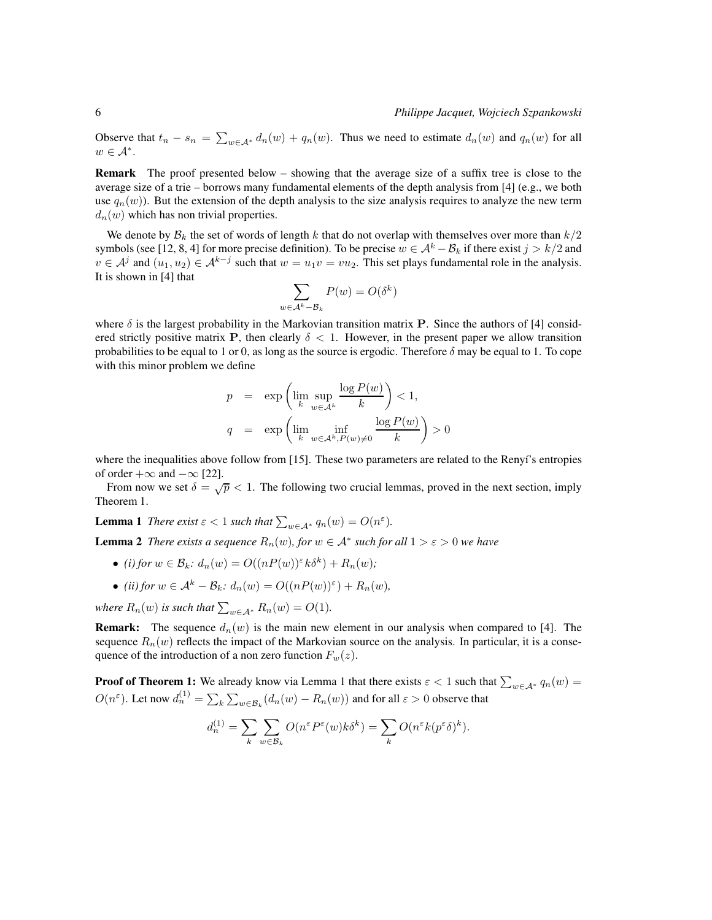Observe that  $t_n - s_n = \sum_{w \in A^*} d_n(w) + q_n(w)$ . Thus we need to estimate  $d_n(w)$  and  $q_n(w)$  for all  $w \in \mathcal{A}^*$ .

Remark The proof presented below – showing that the average size of a suffix tree is close to the average size of a trie – borrows many fundamental elements of the depth analysis from [4] (e.g., we both use  $q_n(w)$ ). But the extension of the depth analysis to the size analysis requires to analyze the new term  $d_n(w)$  which has non trivial properties.

We denote by  $\mathcal{B}_k$  the set of words of length k that do not overlap with themselves over more than  $k/2$ symbols (see [12, 8, 4] for more precise definition). To be precise  $w \in A^k - B_k$  if there exist  $j > k/2$  and  $v \in A^j$  and  $(u_1, u_2) \in A^{k-j}$  such that  $w = u_1v = vu_2$ . This set plays fundamental role in the analysis. It is shown in [4] that

$$
\sum_{w \in \mathcal{A}^k - \mathcal{B}_k} P(w) = O(\delta^k)
$$

where  $\delta$  is the largest probability in the Markovian transition matrix **P**. Since the authors of [4] considered strictly positive matrix P, then clearly  $\delta$  < 1. However, in the present paper we allow transition probabilities to be equal to 1 or 0, as long as the source is ergodic. Therefore  $\delta$  may be equal to 1. To cope with this minor problem we define

$$
p = \exp\left(\lim_{k} \sup_{w \in A^k} \frac{\log P(w)}{k}\right) < 1,
$$
\n
$$
q = \exp\left(\lim_{k} \inf_{w \in A^k, P(w) \neq 0} \frac{\log P(w)}{k}\right) > 0
$$

where the inequalities above follow from [15]. These two parameters are related to the Renyí's entropies of order  $+\infty$  and  $-\infty$  [22].

From now we set  $\delta = \sqrt{p} < 1$ . The following two crucial lemmas, proved in the next section, imply Theorem 1.

**Lemma 1** *There exist*  $\varepsilon < 1$  *such that*  $\sum_{w \in A^*} q_n(w) = O(n^{\varepsilon}).$ 

**Lemma 2** *There exists a sequence*  $R_n(w)$ *, for*  $w \in A^*$  *such for all*  $1 > \varepsilon > 0$  *we have* 

- (i) for  $w \in \mathcal{B}_k$ :  $d_n(w) = O((nP(w))^{\varepsilon} k \delta^k) + R_n(w)$ ;
- *(ii) for*  $w \in A^k B_k$ :  $d_n(w) = O((nP(w))^{\varepsilon}) + R_n(w)$ ,

*where*  $R_n(w)$  *is such that*  $\sum_{w \in A^*} R_n(w) = O(1)$ *.* 

**Remark:** The sequence  $d_n(w)$  is the main new element in our analysis when compared to [4]. The sequence  $R_n(w)$  reflects the impact of the Markovian source on the analysis. In particular, it is a consequence of the introduction of a non zero function  $F_w(z)$ .

**Proof of Theorem 1:** We already know via Lemma 1 that there exists  $\varepsilon < 1$  such that  $\sum_{w \in A^*} q_n(w) =$  $O(n^{\varepsilon})$ . Let now  $d_n^{(1)} = \sum_k \sum_{w \in \mathcal{B}_k} (d_n(w) - R_n(w))$  and for all  $\varepsilon > 0$  observe that

$$
d_n^{(1)} = \sum_k \sum_{w \in \mathcal{B}_k} O(n^{\varepsilon} P^{\varepsilon}(w) k \delta^k) = \sum_k O(n^{\varepsilon} k (p^{\varepsilon} \delta)^k).
$$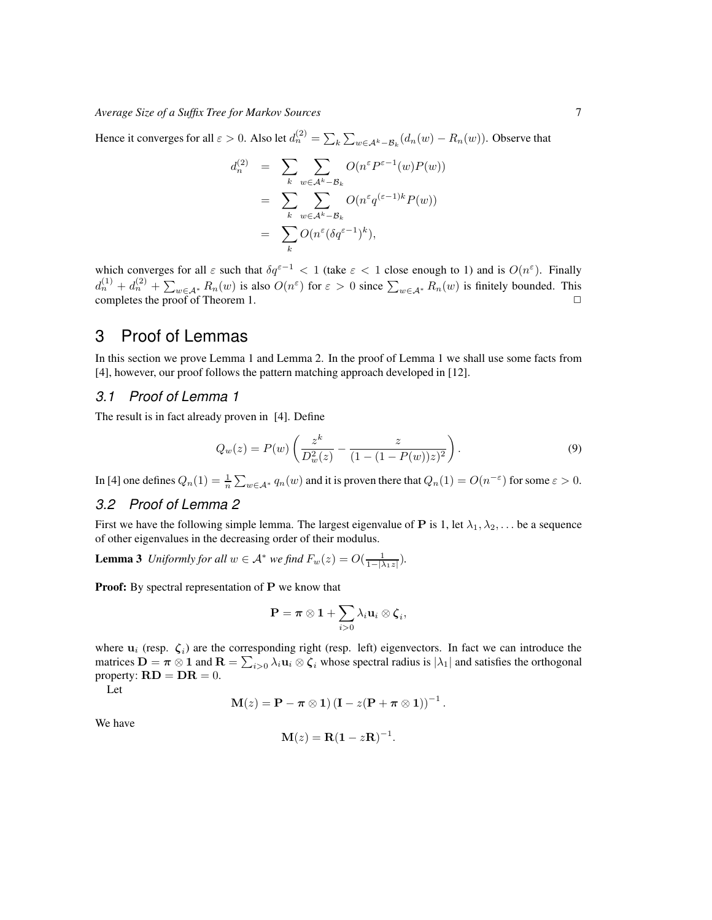Hence it converges for all  $\varepsilon > 0$ . Also let  $d_n^{(2)} = \sum_k \sum_{w \in A^k - B_k} (d_n(w) - R_n(w))$ . Observe that

$$
d_n^{(2)} = \sum_k \sum_{w \in A^k - B_k} O(n^{\varepsilon} P^{\varepsilon - 1}(w) P(w))
$$
  
= 
$$
\sum_k \sum_{w \in A^k - B_k} O(n^{\varepsilon} q^{(\varepsilon - 1)k} P(w))
$$
  
= 
$$
\sum_k O(n^{\varepsilon} (\delta q^{\varepsilon - 1})^k),
$$

which converges for all  $\varepsilon$  such that  $\delta q^{\varepsilon-1} < 1$  (take  $\varepsilon < 1$  close enough to 1) and is  $O(n^{\varepsilon})$ . Finally  $d_n^{(1)} + d_n^{(2)} + \sum_{w \in A^*} R_n(w)$  is also  $O(n^{\varepsilon})$  for  $\varepsilon > 0$  since  $\sum_{w \in A^*} R_n(w)$  is finitely bounded. This completes the proof of Theorem 1.  $\Box$ 

## 3 Proof of Lemmas

In this section we prove Lemma 1 and Lemma 2. In the proof of Lemma 1 we shall use some facts from [4], however, our proof follows the pattern matching approach developed in [12].

#### *3.1 Proof of Lemma 1*

The result is in fact already proven in [4]. Define

$$
Q_w(z) = P(w) \left( \frac{z^k}{D_w^2(z)} - \frac{z}{(1 - (1 - P(w))z)^2} \right).
$$
\n(9)

In [4] one defines  $Q_n(1) = \frac{1}{n} \sum_{w \in A^*} q_n(w)$  and it is proven there that  $Q_n(1) = O(n^{-\varepsilon})$  for some  $\varepsilon > 0$ .

### *3.2 Proof of Lemma 2*

First we have the following simple lemma. The largest eigenvalue of **P** is 1, let  $\lambda_1, \lambda_2, \ldots$  be a sequence of other eigenvalues in the decreasing order of their modulus.

**Lemma 3** *Uniformly for all*  $w \in A^*$  *we find*  $F_w(z) = O(\frac{1}{1 - |\lambda_1 z|}).$ 

Proof: By spectral representation of P we know that

$$
\mathbf{P} = \boldsymbol{\pi} \otimes \mathbf{1} + \sum_{i > 0} \lambda_i \mathbf{u}_i \otimes \boldsymbol{\zeta}_i,
$$

where  $\mathbf{u}_i$  (resp.  $\zeta_i$ ) are the corresponding right (resp. left) eigenvectors. In fact we can introduce the matrices  $\mathbf{D} = \boldsymbol{\pi} \otimes \mathbf{1}$  and  $\mathbf{R} = \sum_{i>0} \lambda_i \mathbf{u}_i \otimes \boldsymbol{\zeta}_i$  whose spectral radius is  $|\lambda_1|$  and satisfies the orthogonal property:  $\mathbf{RD} = \mathbf{DR} = 0$ .

Let

$$
\mathbf{M}(z) = \mathbf{P} - \boldsymbol{\pi} \otimes \mathbf{1} (\mathbf{I} - z(\mathbf{P} + \boldsymbol{\pi} \otimes \mathbf{1}))^{-1}.
$$

We have

$$
\mathbf{M}(z) = \mathbf{R}(\mathbf{1} - z\mathbf{R})^{-1}.
$$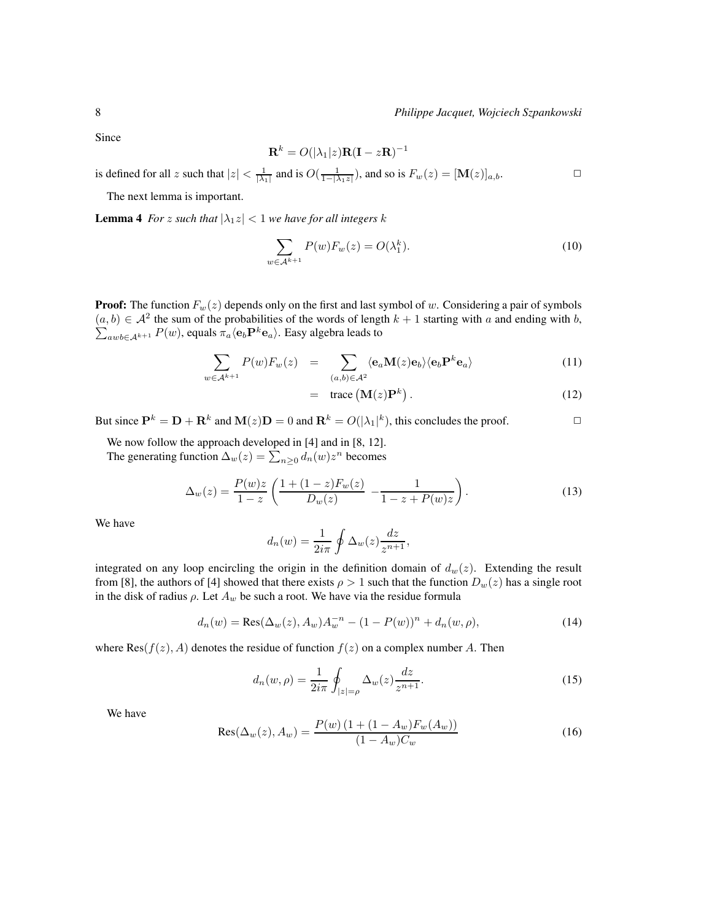Since

$$
\mathbf{R}^{k} = O(|\lambda_1|z)\mathbf{R}(\mathbf{I} - z\mathbf{R})^{-1}
$$

is defined for all z such that  $|z| < \frac{1}{|\lambda_1|}$  and is  $O(\frac{1}{1-|\lambda_1 z|})$ , and so is  $F_w(z) = [\mathbf{M}(z)]_{a,b}$ .

The next lemma is important.

**Lemma 4** *For* z such that  $|\lambda_1 z| < 1$  *we have for all integers* k

$$
\sum_{w \in \mathcal{A}^{k+1}} P(w) F_w(z) = O(\lambda_1^k). \tag{10}
$$

**Proof:** The function  $F_w(z)$  depends only on the first and last symbol of w. Considering a pair of symbols  $(a, b) \in \mathcal{A}^2$  the sum of the probabilities of the words of length  $k + 1$  starting with a and ending with b,  $\sum_{awb \in \mathcal{A}^{k+1}} P(w)$ , equals  $\pi_a \langle \mathbf{e}_b \mathbf{P}^k \mathbf{e}_a \rangle$ . Easy algebra leads to

$$
\sum_{w \in \mathcal{A}^{k+1}} P(w) F_w(z) = \sum_{(a,b) \in \mathcal{A}^2} \langle \mathbf{e}_a \mathbf{M}(z) \mathbf{e}_b \rangle \langle \mathbf{e}_b \mathbf{P}^k \mathbf{e}_a \rangle \tag{11}
$$

$$
= \text{trace}(\mathbf{M}(z)\mathbf{P}^k). \tag{12}
$$

But since  $\mathbf{P}^k = \mathbf{D} + \mathbf{R}^k$  and  $\mathbf{M}(z)\mathbf{D} = 0$  and  $\mathbf{R}^k = O(|\lambda_1|^k)$ , this concludes the proof.

We now follow the approach developed in [4] and in [8, 12]. The generating function  $\Delta_w(z) = \sum_{n \geq 0} d_n(w) z^n$  becomes

$$
\Delta_w(z) = \frac{P(w)z}{1-z} \left( \frac{1+(1-z)F_w(z)}{D_w(z)} - \frac{1}{1-z+P(w)z} \right). \tag{13}
$$

We have

$$
d_n(w) = \frac{1}{2i\pi} \oint \Delta_w(z) \frac{dz}{z^{n+1}},
$$

integrated on any loop encircling the origin in the definition domain of  $d_w(z)$ . Extending the result from [8], the authors of [4] showed that there exists  $\rho > 1$  such that the function  $D_w(z)$  has a single root in the disk of radius  $\rho$ . Let  $A_w$  be such a root. We have via the residue formula

$$
d_n(w) = \text{Res}(\Delta_w(z), A_w)A_w^{-n} - (1 - P(w))^n + d_n(w, \rho), \tag{14}
$$

where  $\text{Res}(f(z), A)$  denotes the residue of function  $f(z)$  on a complex number A. Then

$$
d_n(w,\rho) = \frac{1}{2i\pi} \oint_{|z|=\rho} \Delta_w(z) \frac{dz}{z^{n+1}}.
$$
 (15)

We have

$$
Res(\Delta_w(z), A_w) = \frac{P(w) (1 + (1 - A_w) F_w(A_w))}{(1 - A_w) C_w}
$$
(16)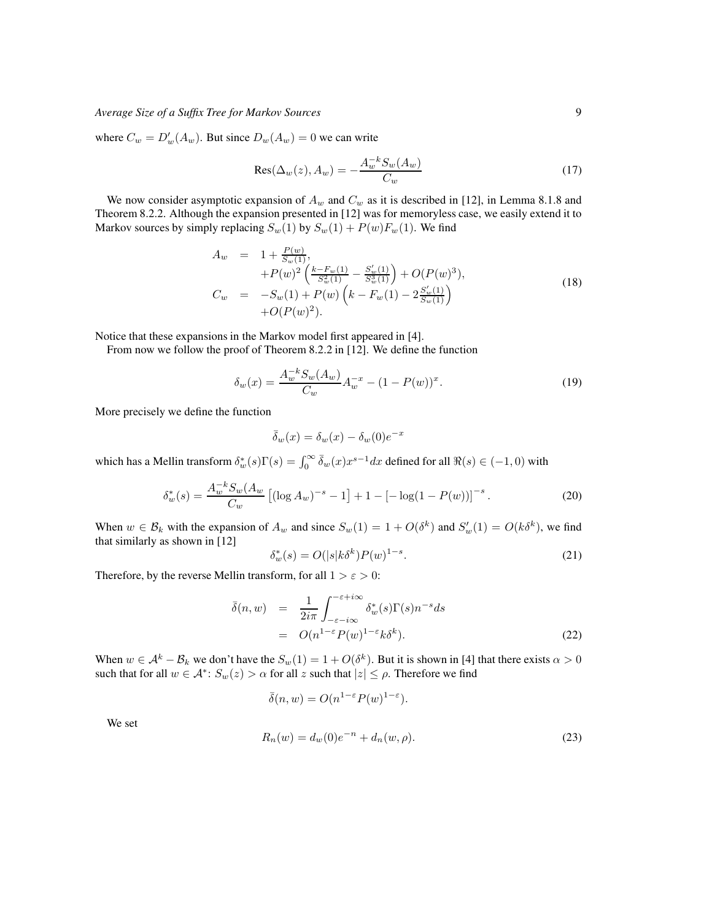where  $C_w = D'_w(A_w)$ . But since  $D_w(A_w) = 0$  we can write

$$
Res(\Delta_w(z), A_w) = -\frac{A_w^{-k} S_w(A_w)}{C_w} \tag{17}
$$

We now consider asymptotic expansion of  $A_w$  and  $C_w$  as it is described in [12], in Lemma 8.1.8 and Theorem 8.2.2. Although the expansion presented in [12] was for memoryless case, we easily extend it to Markov sources by simply replacing  $S_w(1)$  by  $S_w(1) + P(w)F_w(1)$ . We find

$$
A_w = 1 + \frac{P(w)}{S_w(1)}, + P(w)^2 \left( \frac{k - F_w(1)}{S_w^2(1)} - \frac{S_w'(1)}{S_w^3(1)} \right) + O(P(w)^3), C_w = -S_w(1) + P(w) \left( k - F_w(1) - 2\frac{S_w'(1)}{S_w(1)} \right) + O(P(w)^2).
$$
(18)

Notice that these expansions in the Markov model first appeared in [4].

From now we follow the proof of Theorem 8.2.2 in [12]. We define the function

$$
\delta_w(x) = \frac{A_w^{-k} S_w(A_w)}{C_w} A_w^{-x} - (1 - P(w))^x.
$$
\n(19)

More precisely we define the function

$$
\bar{\delta}_w(x) = \delta_w(x) - \delta_w(0)e^{-x}
$$

which has a Mellin transform  $\delta_w^*(s)\Gamma(s) = \int_0^\infty \bar{\delta}_w(x)x^{s-1}dx$  defined for all  $\Re(s) \in (-1,0)$  with

$$
\delta_w^*(s) = \frac{A_w^{-k} S_w (A_w}{C_w} \left[ (\log A_w)^{-s} - 1 \right] + 1 - \left[ -\log(1 - P(w)) \right]^{-s} . \tag{20}
$$

When  $w \in \mathcal{B}_k$  with the expansion of  $A_w$  and since  $S_w(1) = 1 + O(\delta^k)$  and  $S'_w(1) = O(k \delta^k)$ , we find that similarly as shown in [12]

$$
\delta_w^*(s) = O(|s|k\delta^k)P(w)^{1-s}.\tag{21}
$$

Therefore, by the reverse Mellin transform, for all  $1 > \varepsilon > 0$ :

$$
\bar{\delta}(n, w) = \frac{1}{2i\pi} \int_{-\varepsilon - i\infty}^{-\varepsilon + i\infty} \delta_w^*(s) \Gamma(s) n^{-s} ds
$$
  
=  $O(n^{1-\varepsilon} P(w)^{1-\varepsilon} k \delta^k).$  (22)

When  $w \in A^k - B_k$  we don't have the  $S_w(1) = 1 + O(\delta^k)$ . But it is shown in [4] that there exists  $\alpha > 0$ such that for all  $w \in \mathcal{A}^*$ :  $S_w(z) > \alpha$  for all  $z$  such that  $|z| \leq \rho$ . Therefore we find

$$
\bar{\delta}(n, w) = O(n^{1-\varepsilon} P(w)^{1-\varepsilon}).
$$

We set

$$
R_n(w) = d_w(0)e^{-n} + d_n(w, \rho).
$$
 (23)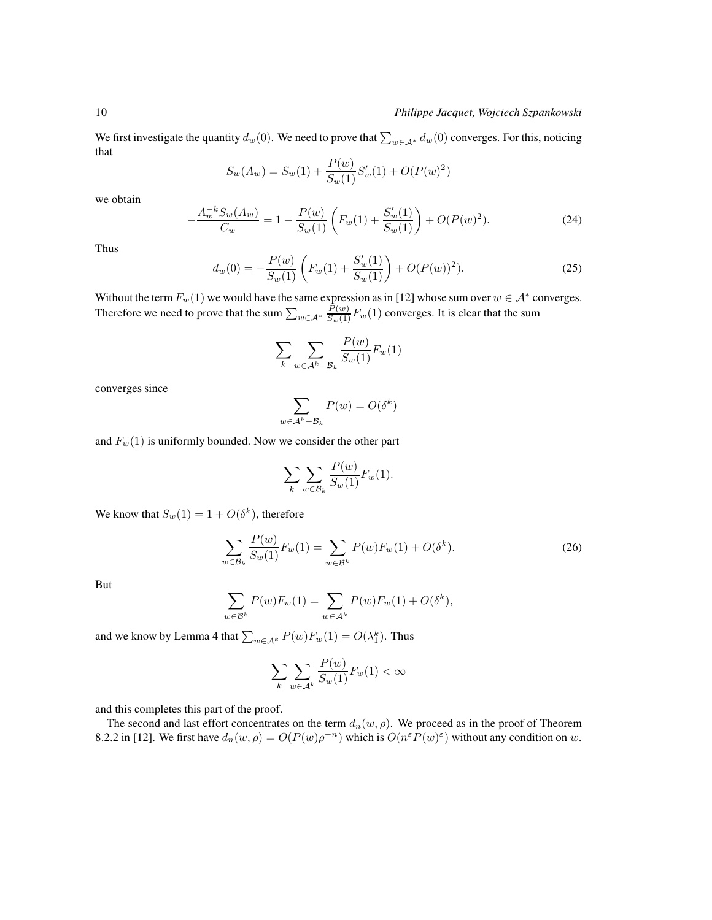We first investigate the quantity  $d_w(0)$ . We need to prove that  $\sum_{w \in A^*} d_w(0)$  converges. For this, noticing that

$$
S_w(A_w) = S_w(1) + \frac{P(w)}{S_w(1)}S_w'(1) + O(P(w)^2)
$$

we obtain

$$
-\frac{A_w^{-k}S_w(A_w)}{C_w} = 1 - \frac{P(w)}{S_w(1)} \left( F_w(1) + \frac{S_w'(1)}{S_w(1)} \right) + O(P(w)^2). \tag{24}
$$

Thus

$$
d_w(0) = -\frac{P(w)}{S_w(1)} \left( F_w(1) + \frac{S'_w(1)}{S_w(1)} \right) + O(P(w))^2).
$$
 (25)

Without the term  $F_w(1)$  we would have the same expression as in [12] whose sum over  $w \in A^*$  converges. Therefore we need to prove that the sum  $\sum_{w \in A^*} \frac{P(w)}{S_w(1)} F_w(1)$  converges. It is clear that the sum

$$
\sum_{k} \sum_{w \in \mathcal{A}^k - \mathcal{B}_k} \frac{P(w)}{S_w(1)} F_w(1)
$$

converges since

$$
\sum_{w \in \mathcal{A}^k - \mathcal{B}_k} P(w) = O(\delta^k)
$$

and  $F_w(1)$  is uniformly bounded. Now we consider the other part

$$
\sum_{k} \sum_{w \in \mathcal{B}_k} \frac{P(w)}{S_w(1)} F_w(1).
$$

We know that  $S_w(1) = 1 + O(\delta^k)$ , therefore

$$
\sum_{w \in \mathcal{B}_k} \frac{P(w)}{S_w(1)} F_w(1) = \sum_{w \in \mathcal{B}^k} P(w) F_w(1) + O(\delta^k).
$$
 (26)

But

$$
\sum_{w \in \mathcal{B}^k} P(w) F_w(1) = \sum_{w \in \mathcal{A}^k} P(w) F_w(1) + O(\delta^k),
$$

and we know by Lemma 4 that  $\sum_{w \in A^k} P(w) F_w(1) = O(\lambda_1^k)$ . Thus

$$
\sum_{k} \sum_{w \in \mathcal{A}^k} \frac{P(w)}{S_w(1)} F_w(1) < \infty
$$

and this completes this part of the proof.

The second and last effort concentrates on the term  $d_n(w, \rho)$ . We proceed as in the proof of Theorem 8.2.2 in [12]. We first have  $d_n(w, \rho) = O(P(w)\rho^{-n})$  which is  $O(n^{\epsilon}P(w)^{\epsilon})$  without any condition on w.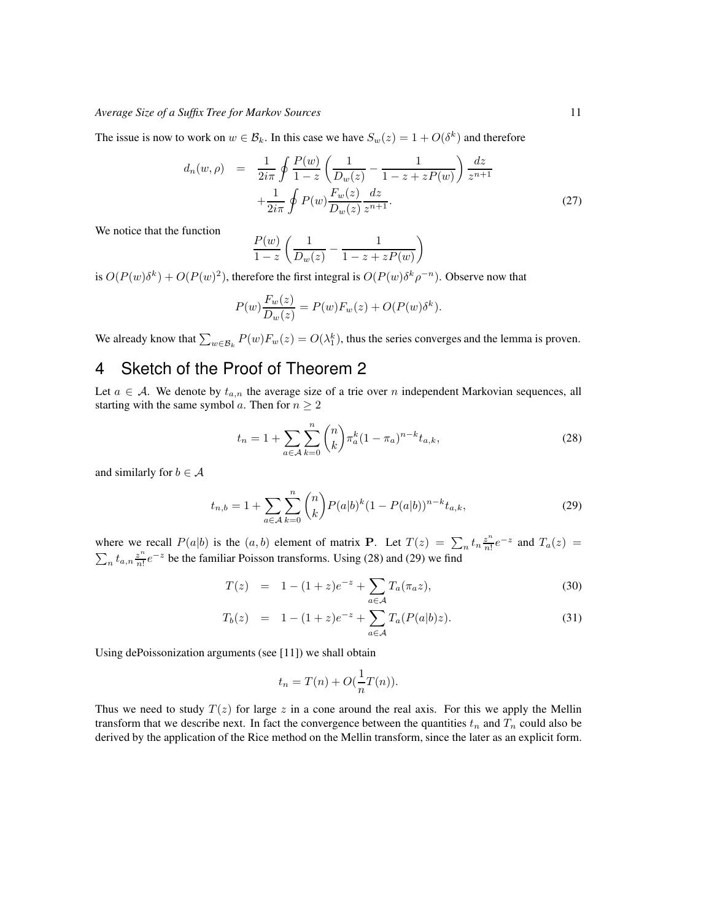The issue is now to work on  $w \in \mathcal{B}_k$ . In this case we have  $S_w(z) = 1 + O(\delta^k)$  and therefore

$$
d_n(w,\rho) = \frac{1}{2i\pi} \oint \frac{P(w)}{1-z} \left( \frac{1}{D_w(z)} - \frac{1}{1-z+zP(w)} \right) \frac{dz}{z^{n+1}} + \frac{1}{2i\pi} \oint P(w) \frac{F_w(z)}{D_w(z)} \frac{dz}{z^{n+1}}.
$$
 (27)

We notice that the function

$$
\frac{P(w)}{1-z} \left( \frac{1}{D_w(z)} - \frac{1}{1-z+zP(w)} \right)
$$

is  $O(P(w)\delta^k) + O(P(w)^2)$ , therefore the first integral is  $O(P(w)\delta^k \rho^{-n})$ . Observe now that

$$
P(w)\frac{F_w(z)}{D_w(z)} = P(w)F_w(z) + O(P(w)\delta^k).
$$

We already know that  $\sum_{w \in \mathcal{B}_k} P(w) F_w(z) = O(\lambda_1^k)$ , thus the series converges and the lemma is proven.

## 4 Sketch of the Proof of Theorem 2

Let  $a \in \mathcal{A}$ . We denote by  $t_{a,n}$  the average size of a trie over n independent Markovian sequences, all starting with the same symbol a. Then for  $n \geq 2$ 

$$
t_n = 1 + \sum_{a \in \mathcal{A}} \sum_{k=0}^n \binom{n}{k} \pi_a^k (1 - \pi_a)^{n-k} t_{a,k},
$$
\n(28)

and similarly for  $b \in A$ 

$$
t_{n,b} = 1 + \sum_{a \in \mathcal{A}} \sum_{k=0}^{n} {n \choose k} P(a|b)^k (1 - P(a|b))^{n-k} t_{a,k},
$$
\n(29)

where we recall  $P(a|b)$  is the  $(a, b)$  element of matrix **P**. Let  $T(z) = \sum_n t_n \frac{z^n}{n!}$  $\frac{z^n}{n!}e^{-z}$  and  $T_a(z)$  =  $\sum_n t_{a,n} \frac{z^n}{n!}$  $\frac{z^n}{n!}e^{-z}$  be the familiar Poisson transforms. Using (28) and (29) we find

$$
T(z) = 1 - (1+z)e^{-z} + \sum_{a \in \mathcal{A}} T_a(\pi_a z), \tag{30}
$$

$$
T_b(z) = 1 - (1+z)e^{-z} + \sum_{a \in \mathcal{A}} T_a(P(a|b)z).
$$
 (31)

Using dePoissonization arguments (see [11]) we shall obtain

$$
t_n = T(n) + O(\frac{1}{n}T(n)).
$$

Thus we need to study  $T(z)$  for large z in a cone around the real axis. For this we apply the Mellin transform that we describe next. In fact the convergence between the quantities  $t_n$  and  $T_n$  could also be derived by the application of the Rice method on the Mellin transform, since the later as an explicit form.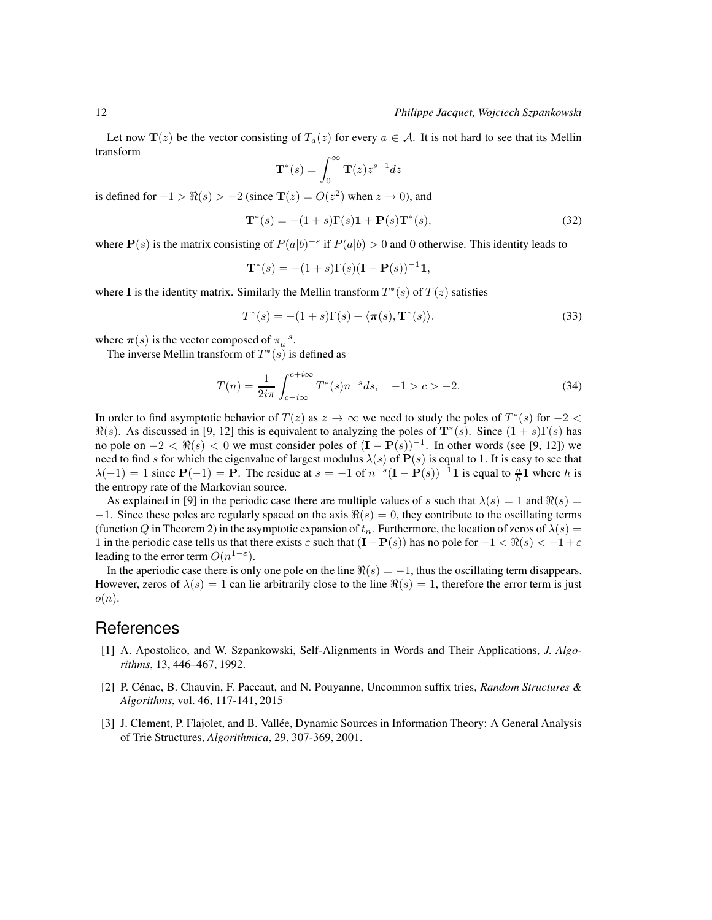Let now  $\mathbf{T}(z)$  be the vector consisting of  $T_a(z)$  for every  $a \in \mathcal{A}$ . It is not hard to see that its Mellin transform

$$
\mathbf{T}^*(s) = \int_0^\infty \mathbf{T}(z) z^{s-1} dz
$$

is defined for  $-1 > \Re(s) > -2$  (since  $\mathbf{T}(z) = O(z^2)$  when  $z \to 0$ ), and

$$
\mathbf{T}^*(s) = -(1+s)\Gamma(s)\mathbf{1} + \mathbf{P}(s)\mathbf{T}^*(s),\tag{32}
$$

where  $P(s)$  is the matrix consisting of  $P(a|b)^{-s}$  if  $P(a|b) > 0$  and 0 otherwise. This identity leads to

$$
T^*(s) = -(1+s)\Gamma(s)(I - P(s))^{-1}1,
$$

where I is the identity matrix. Similarly the Mellin transform  $T^*(s)$  of  $T(z)$  satisfies

$$
T^*(s) = -(1+s)\Gamma(s) + \langle \pi(s), \mathbf{T}^*(s) \rangle.
$$
\n(33)

where  $\pi(s)$  is the vector composed of  $\pi_a^{-s}$ .

The inverse Mellin transform of  $T^*(s)$  is defined as

$$
T(n) = \frac{1}{2i\pi} \int_{c-i\infty}^{c+i\infty} T^*(s) n^{-s} ds, \quad -1 > c > -2.
$$
 (34)

In order to find asymptotic behavior of  $T(z)$  as  $z \to \infty$  we need to study the poles of  $T^*(s)$  for  $-2 < \infty$  $\Re(s)$ . As discussed in [9, 12] this is equivalent to analyzing the poles of  $\mathbf{T}^*(s)$ . Since  $(1 + s)\Gamma(s)$  has no pole on  $-2 < \Re(s) < 0$  we must consider poles of  $(I - P(s))^{-1}$ . In other words (see [9, 12]) we need to find s for which the eigenvalue of largest modulus  $\lambda(s)$  of  $P(s)$  is equal to 1. It is easy to see that  $\lambda(-1) = 1$  since  $P(-1) = P$ . The residue at  $s = -1$  of  $n^{-s}(I - P(s))^{-1}1$  is equal to  $\frac{n}{h}1$  where h is the entropy rate of the Markovian source.

As explained in [9] in the periodic case there are multiple values of s such that  $\lambda(s) = 1$  and  $\Re(s) =$  $-1$ . Since these poles are regularly spaced on the axis  $\Re(s) = 0$ , they contribute to the oscillating terms (function Q in Theorem 2) in the asymptotic expansion of  $t_n$ . Furthermore, the location of zeros of  $\lambda(s)$  = 1 in the periodic case tells us that there exists  $\varepsilon$  such that  $(I-P(s))$  has no pole for  $-1 < \Re(s) < -1 + \varepsilon$ leading to the error term  $O(n^{1-\epsilon})$ .

In the aperiodic case there is only one pole on the line  $\Re(s) = -1$ , thus the oscillating term disappears. However, zeros of  $\lambda(s) = 1$  can lie arbitrarily close to the line  $\Re(s) = 1$ , therefore the error term is just  $o(n)$ .

## **References**

- [1] A. Apostolico, and W. Szpankowski, Self-Alignments in Words and Their Applications, *J. Algorithms*, 13, 446–467, 1992.
- [2] P. C´enac, B. Chauvin, F. Paccaut, and N. Pouyanne, Uncommon suffix tries, *Random Structures & Algorithms*, vol. 46, 117-141, 2015
- [3] J. Clement, P. Flajolet, and B. Vallée, Dynamic Sources in Information Theory: A General Analysis of Trie Structures, *Algorithmica*, 29, 307-369, 2001.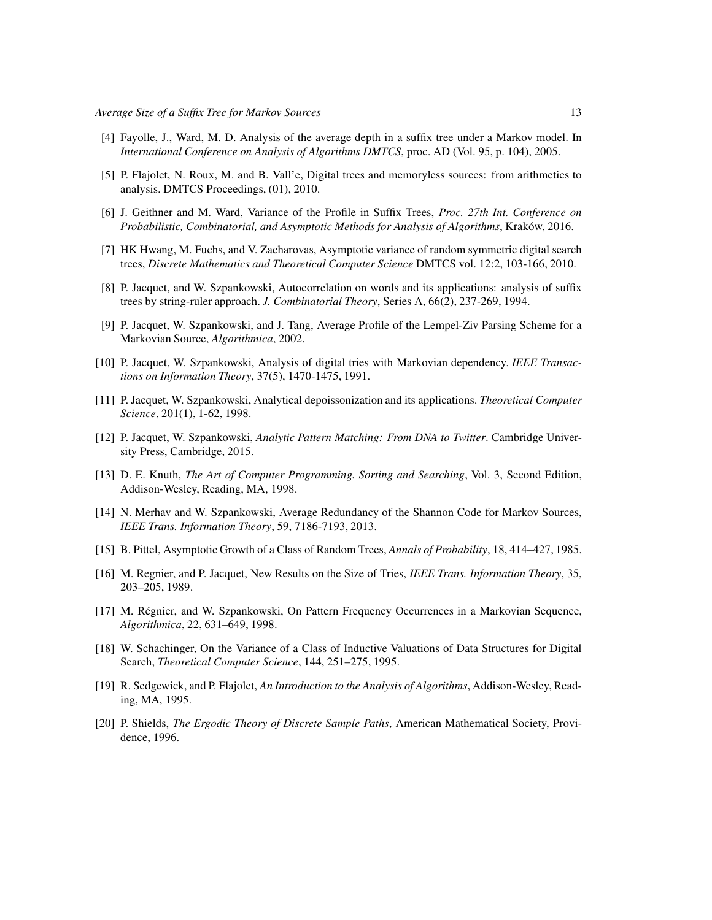- [4] Fayolle, J., Ward, M. D. Analysis of the average depth in a suffix tree under a Markov model. In *International Conference on Analysis of Algorithms DMTCS*, proc. AD (Vol. 95, p. 104), 2005.
- [5] P. Flajolet, N. Roux, M. and B. Vall'e, Digital trees and memoryless sources: from arithmetics to analysis. DMTCS Proceedings, (01), 2010.
- [6] J. Geithner and M. Ward, Variance of the Profile in Suffix Trees, *Proc. 27th Int. Conference on Probabilistic, Combinatorial, and Asymptotic Methods for Analysis of Algorithms, Kraków, 2016.*
- [7] HK Hwang, M. Fuchs, and V. Zacharovas, Asymptotic variance of random symmetric digital search trees, *Discrete Mathematics and Theoretical Computer Science* DMTCS vol. 12:2, 103-166, 2010.
- [8] P. Jacquet, and W. Szpankowski, Autocorrelation on words and its applications: analysis of suffix trees by string-ruler approach. *J. Combinatorial Theory*, Series A, 66(2), 237-269, 1994.
- [9] P. Jacquet, W. Szpankowski, and J. Tang, Average Profile of the Lempel-Ziv Parsing Scheme for a Markovian Source, *Algorithmica*, 2002.
- [10] P. Jacquet, W. Szpankowski, Analysis of digital tries with Markovian dependency. *IEEE Transactions on Information Theory*, 37(5), 1470-1475, 1991.
- [11] P. Jacquet, W. Szpankowski, Analytical depoissonization and its applications. *Theoretical Computer Science*, 201(1), 1-62, 1998.
- [12] P. Jacquet, W. Szpankowski, *Analytic Pattern Matching: From DNA to Twitter*. Cambridge University Press, Cambridge, 2015.
- [13] D. E. Knuth, *The Art of Computer Programming. Sorting and Searching*, Vol. 3, Second Edition, Addison-Wesley, Reading, MA, 1998.
- [14] N. Merhav and W. Szpankowski, Average Redundancy of the Shannon Code for Markov Sources, *IEEE Trans. Information Theory*, 59, 7186-7193, 2013.
- [15] B. Pittel, Asymptotic Growth of a Class of Random Trees, *Annals of Probability*, 18, 414–427, 1985.
- [16] M. Regnier, and P. Jacquet, New Results on the Size of Tries, *IEEE Trans. Information Theory*, 35, 203–205, 1989.
- [17] M. Régnier, and W. Szpankowski, On Pattern Frequency Occurrences in a Markovian Sequence, *Algorithmica*, 22, 631–649, 1998.
- [18] W. Schachinger, On the Variance of a Class of Inductive Valuations of Data Structures for Digital Search, *Theoretical Computer Science*, 144, 251–275, 1995.
- [19] R. Sedgewick, and P. Flajolet, *An Introduction to the Analysis of Algorithms*, Addison-Wesley, Reading, MA, 1995.
- [20] P. Shields, *The Ergodic Theory of Discrete Sample Paths*, American Mathematical Society, Providence, 1996.